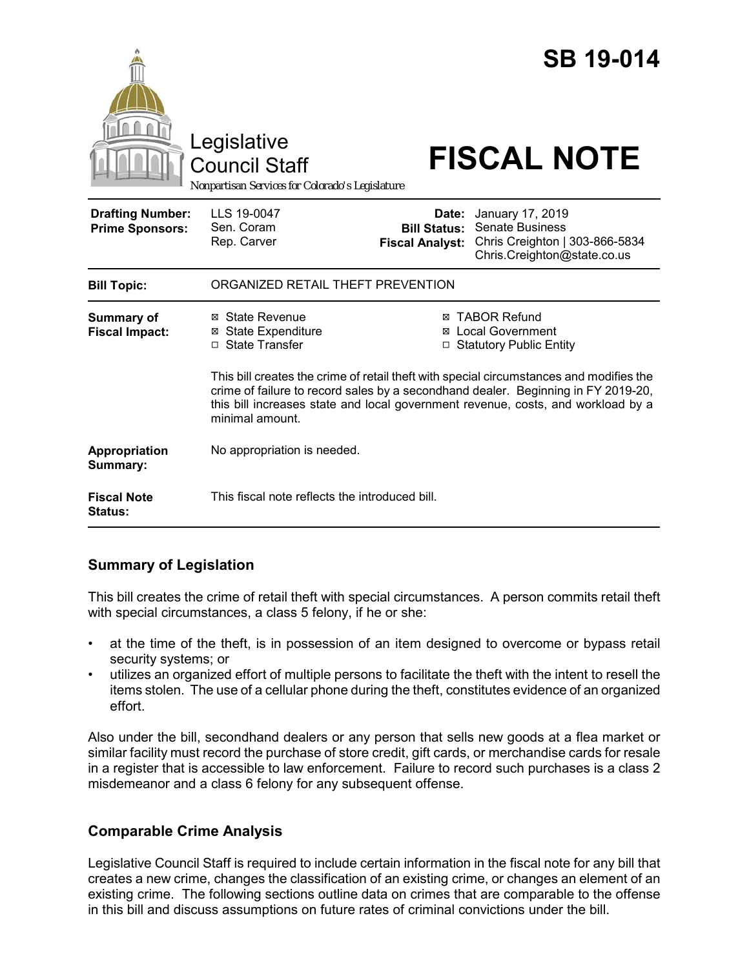|                                                   | Legislative<br><b>Council Staff</b><br>Nonpartisan Services for Colorado's Legislature                                                                                                                                                                                              |                                                                                 | <b>SB 19-014</b><br><b>FISCAL NOTE</b>                                                                      |  |
|---------------------------------------------------|-------------------------------------------------------------------------------------------------------------------------------------------------------------------------------------------------------------------------------------------------------------------------------------|---------------------------------------------------------------------------------|-------------------------------------------------------------------------------------------------------------|--|
| <b>Drafting Number:</b><br><b>Prime Sponsors:</b> | LLS 19-0047<br>Sen. Coram<br>Rep. Carver                                                                                                                                                                                                                                            | Date:<br><b>Bill Status:</b><br><b>Fiscal Analyst:</b>                          | January 17, 2019<br><b>Senate Business</b><br>Chris Creighton   303-866-5834<br>Chris.Creighton@state.co.us |  |
| <b>Bill Topic:</b>                                | ORGANIZED RETAIL THEFT PREVENTION                                                                                                                                                                                                                                                   |                                                                                 |                                                                                                             |  |
| <b>Summary of</b><br><b>Fiscal Impact:</b>        | ⊠ State Revenue<br><b>State Expenditure</b><br>⊠<br>□ State Transfer                                                                                                                                                                                                                | <b>⊠ TABOR Refund</b><br><b>⊠</b> Local Government<br>□ Statutory Public Entity |                                                                                                             |  |
|                                                   | This bill creates the crime of retail theft with special circumstances and modifies the<br>crime of failure to record sales by a secondhand dealer. Beginning in FY 2019-20,<br>this bill increases state and local government revenue, costs, and workload by a<br>minimal amount. |                                                                                 |                                                                                                             |  |
| Appropriation<br>Summary:                         | No appropriation is needed.                                                                                                                                                                                                                                                         |                                                                                 |                                                                                                             |  |
| <b>Fiscal Note</b><br>Status:                     | This fiscal note reflects the introduced bill.                                                                                                                                                                                                                                      |                                                                                 |                                                                                                             |  |

# **Summary of Legislation**

This bill creates the crime of retail theft with special circumstances. A person commits retail theft with special circumstances, a class 5 felony, if he or she:

- at the time of the theft, is in possession of an item designed to overcome or bypass retail security systems; or
- utilizes an organized effort of multiple persons to facilitate the theft with the intent to resell the items stolen. The use of a cellular phone during the theft, constitutes evidence of an organized effort.

Also under the bill, secondhand dealers or any person that sells new goods at a flea market or similar facility must record the purchase of store credit, gift cards, or merchandise cards for resale in a register that is accessible to law enforcement. Failure to record such purchases is a class 2 misdemeanor and a class 6 felony for any subsequent offense.

# **Comparable Crime Analysis**

Legislative Council Staff is required to include certain information in the fiscal note for any bill that creates a new crime, changes the classification of an existing crime, or changes an element of an existing crime. The following sections outline data on crimes that are comparable to the offense in this bill and discuss assumptions on future rates of criminal convictions under the bill.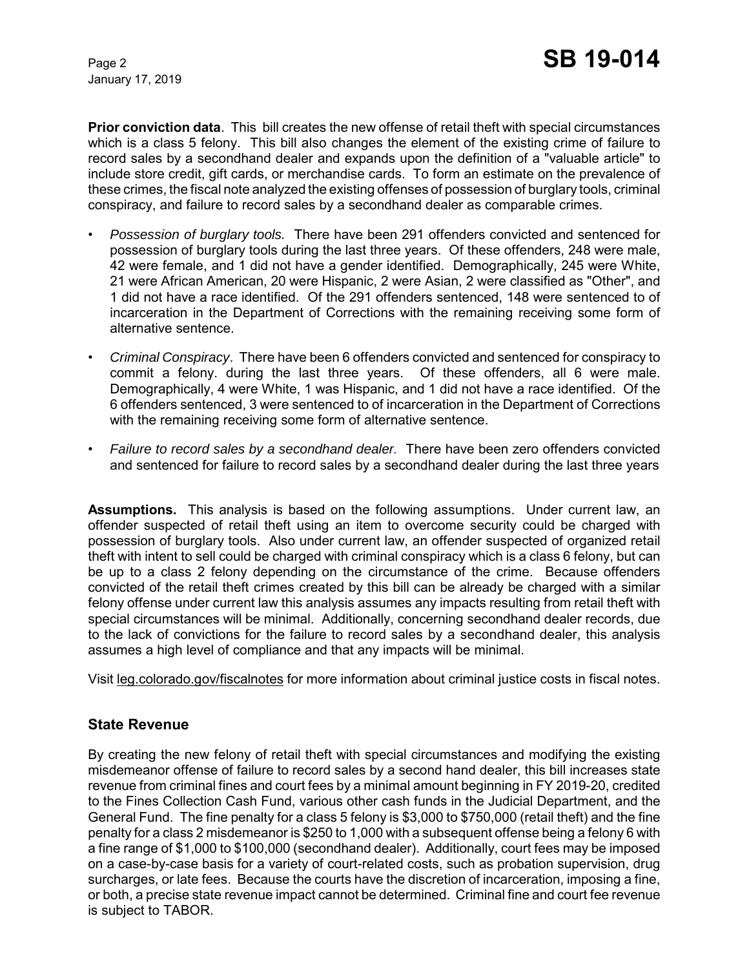January 17, 2019

**Prior conviction data**. This bill creates the new offense of retail theft with special circumstances which is a class 5 felony. This bill also changes the element of the existing crime of failure to record sales by a secondhand dealer and expands upon the definition of a "valuable article" to include store credit, gift cards, or merchandise cards. To form an estimate on the prevalence of these crimes, the fiscal note analyzed the existing offenses of possession of burglary tools, criminal conspiracy, and failure to record sales by a secondhand dealer as comparable crimes.

- *Possession of burglary tools.* There have been 291 offenders convicted and sentenced for possession of burglary tools during the last three years. Of these offenders, 248 were male, 42 were female, and 1 did not have a gender identified. Demographically, 245 were White, 21 were African American, 20 were Hispanic, 2 were Asian, 2 were classified as "Other", and 1 did not have a race identified. Of the 291 offenders sentenced, 148 were sentenced to of incarceration in the Department of Corrections with the remaining receiving some form of alternative sentence.
- *Criminal Conspiracy*. There have been 6 offenders convicted and sentenced for conspiracy to commit a felony. during the last three years. Of these offenders, all 6 were male. Demographically, 4 were White, 1 was Hispanic, and 1 did not have a race identified. Of the 6 offenders sentenced, 3 were sentenced to of incarceration in the Department of Corrections with the remaining receiving some form of alternative sentence.
- *Failure to record sales by a secondhand dealer.* There have been zero offenders convicted and sentenced for failure to record sales by a secondhand dealer during the last three years

**Assumptions.** This analysis is based on the following assumptions. Under current law, an offender suspected of retail theft using an item to overcome security could be charged with possession of burglary tools. Also under current law, an offender suspected of organized retail theft with intent to sell could be charged with criminal conspiracy which is a class 6 felony, but can be up to a class 2 felony depending on the circumstance of the crime. Because offenders convicted of the retail theft crimes created by this bill can be already be charged with a similar felony offense under current law this analysis assumes any impacts resulting from retail theft with special circumstances will be minimal. Additionally, concerning secondhand dealer records, due to the lack of convictions for the failure to record sales by a secondhand dealer, this analysis assumes a high level of compliance and that any impacts will be minimal.

Visit leg.colorado.gov/fiscalnotes for more information about criminal justice costs in fiscal notes.

### **State Revenue**

By creating the new felony of retail theft with special circumstances and modifying the existing misdemeanor offense of failure to record sales by a second hand dealer, this bill increases state revenue from criminal fines and court fees by a minimal amount beginning in FY 2019-20, credited to the Fines Collection Cash Fund, various other cash funds in the Judicial Department, and the General Fund. The fine penalty for a class 5 felony is \$3,000 to \$750,000 (retail theft) and the fine penalty for a class 2 misdemeanor is \$250 to 1,000 with a subsequent offense being a felony 6 with a fine range of \$1,000 to \$100,000 (secondhand dealer). Additionally, court fees may be imposed on a case-by-case basis for a variety of court-related costs, such as probation supervision, drug surcharges, or late fees. Because the courts have the discretion of incarceration, imposing a fine, or both, a precise state revenue impact cannot be determined. Criminal fine and court fee revenue is subject to TABOR.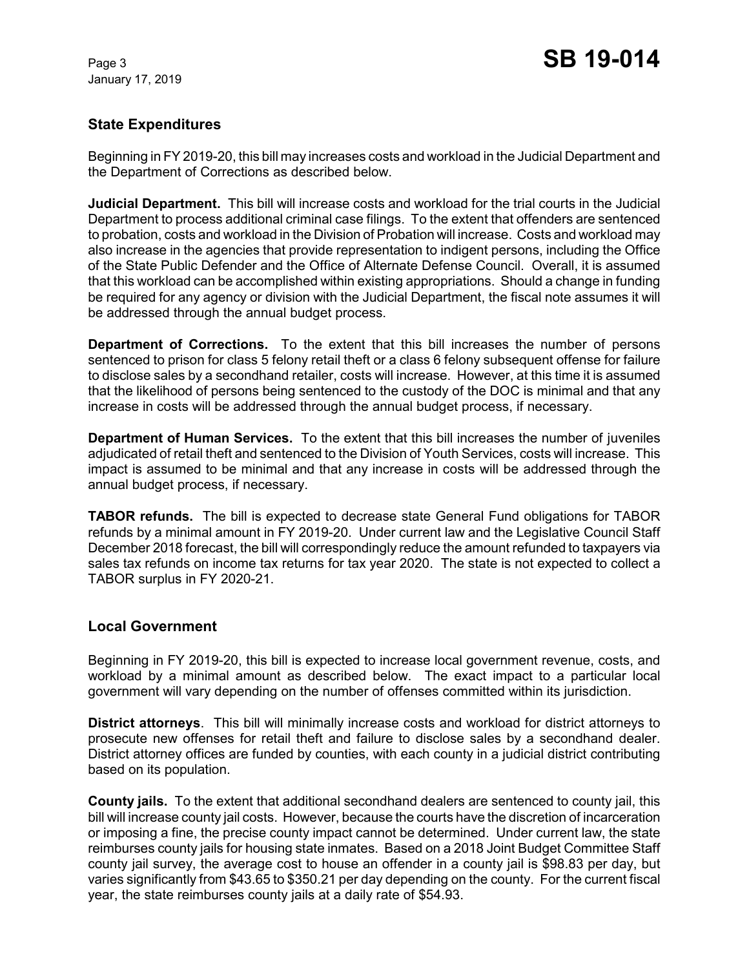January 17, 2019

# **State Expenditures**

Beginning in FY 2019-20, this bill may increases costs and workload in the Judicial Department and the Department of Corrections as described below.

**Judicial Department.** This bill will increase costs and workload for the trial courts in the Judicial Department to process additional criminal case filings. To the extent that offenders are sentenced to probation, costs and workload in the Division of Probation will increase. Costs and workload may also increase in the agencies that provide representation to indigent persons, including the Office of the State Public Defender and the Office of Alternate Defense Council. Overall, it is assumed that this workload can be accomplished within existing appropriations. Should a change in funding be required for any agency or division with the Judicial Department, the fiscal note assumes it will be addressed through the annual budget process.

**Department of Corrections.** To the extent that this bill increases the number of persons sentenced to prison for class 5 felony retail theft or a class 6 felony subsequent offense for failure to disclose sales by a secondhand retailer, costs will increase. However, at this time it is assumed that the likelihood of persons being sentenced to the custody of the DOC is minimal and that any increase in costs will be addressed through the annual budget process, if necessary.

**Department of Human Services.** To the extent that this bill increases the number of juveniles adjudicated of retail theft and sentenced to the Division of Youth Services, costs will increase. This impact is assumed to be minimal and that any increase in costs will be addressed through the annual budget process, if necessary.

**TABOR refunds.** The bill is expected to decrease state General Fund obligations for TABOR refunds by a minimal amount in FY 2019-20. Under current law and the Legislative Council Staff December 2018 forecast, the bill will correspondingly reduce the amount refunded to taxpayers via sales tax refunds on income tax returns for tax year 2020. The state is not expected to collect a TABOR surplus in FY 2020-21.

# **Local Government**

Beginning in FY 2019-20, this bill is expected to increase local government revenue, costs, and workload by a minimal amount as described below. The exact impact to a particular local government will vary depending on the number of offenses committed within its jurisdiction.

**District attorneys**. This bill will minimally increase costs and workload for district attorneys to prosecute new offenses for retail theft and failure to disclose sales by a secondhand dealer. District attorney offices are funded by counties, with each county in a judicial district contributing based on its population.

**County jails.** To the extent that additional secondhand dealers are sentenced to county jail, this bill will increase county jail costs. However, because the courts have the discretion of incarceration or imposing a fine, the precise county impact cannot be determined. Under current law, the state reimburses county jails for housing state inmates. Based on a 2018 Joint Budget Committee Staff county jail survey, the average cost to house an offender in a county jail is \$98.83 per day, but varies significantly from \$43.65 to \$350.21 per day depending on the county. For the current fiscal year, the state reimburses county jails at a daily rate of \$54.93.